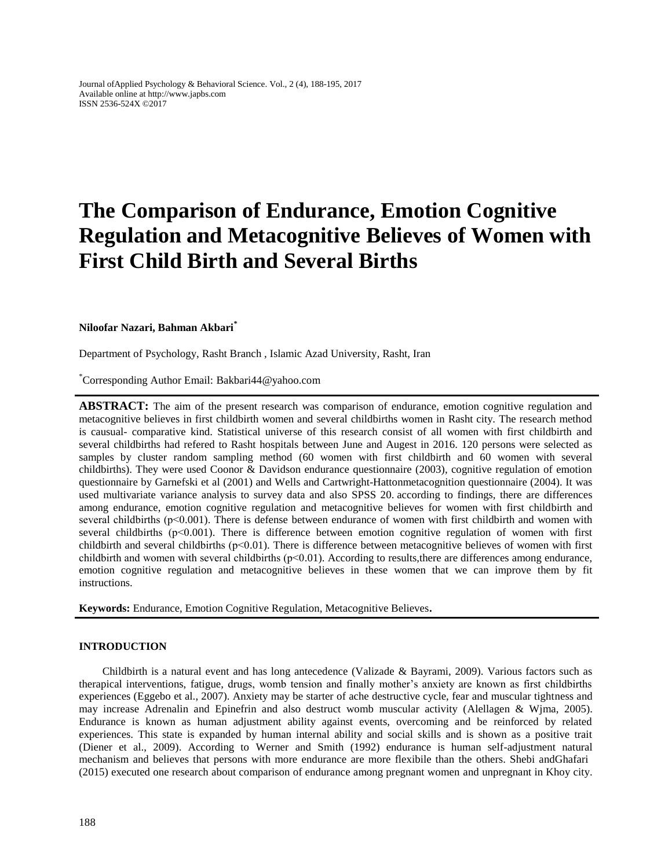Journal ofApplied Psychology & Behavioral Science. Vol., 2 (4), 188-195, 2017 Available online at http://www.japbs.com ISSN 2536-524X ©2017

# **The Comparison of Endurance, Emotion Cognitive Regulation and Metacognitive Believes of Women with First Child Birth and Several Births**

#### **Niloofar Nazari, Bahman Akbari\***

Department of Psychology, Rasht Branch , Islamic Azad University, Rasht, Iran

\*Corresponding Author Email: Bakbari44@yahoo.com

**ABSTRACT:** The aim of the present research was comparison of endurance, emotion cognitive regulation and metacognitive believes in first childbirth women and several childbirths women in Rasht city. The research method is causual- comparative kind. Statistical universe of this research consist of all women with first childbirth and several childbirths had refered to Rasht hospitals between June and Augest in 2016. 120 persons were selected as samples by cluster random sampling method (60 women with first childbirth and 60 women with several childbirths). They were used Coonor & Davidson endurance questionnaire (2003), cognitive regulation of emotion questionnaire by Garnefski et al (2001) and Wells and Cartwright-Hattonmetacognition questionnaire (2004). It was used multivariate variance analysis to survey data and also SPSS 20. according to findings, there are differences among endurance, emotion cognitive regulation and metacognitive believes for women with first childbirth and several childbirths (p<0.001). There is defense between endurance of women with first childbirth and women with several childbirths ( $p \le 0.001$ ). There is difference between emotion cognitive regulation of women with first childbirth and several childbirths ( $p<0.01$ ). There is difference between metacognitive believes of women with first childbirth and women with several childbirths  $(p<0.01)$ . According to results, there are differences among endurance, emotion cognitive regulation and metacognitive believes in these women that we can improve them by fit instructions.

**Keywords:** Endurance, Emotion Cognitive Regulation, Metacognitive Believes**.**

#### **INTRODUCTION**

Childbirth is a natural event and has long antecedence (Valizade & Bayrami, 2009). Various factors such as therapical interventions, fatigue, drugs, womb tension and finally mother's anxiety are known as first childbirths experiences (Eggebo et al., 2007). Anxiety may be starter of ache destructive cycle, fear and muscular tightness and may increase Adrenalin and Epinefrin and also destruct womb muscular activity (Alellagen & Wjma, 2005). Endurance is known as human adjustment ability against events, overcoming and be reinforced by related experiences. This state is expanded by human internal ability and social skills and is shown as a positive trait (Diener et al., 2009). According to Werner and Smith (1992) endurance is human self-adjustment natural mechanism and believes that persons with more endurance are more flexibile than the others. Shebi andGhafari (2015) executed one research about comparison of endurance among pregnant women and unpregnant in Khoy city.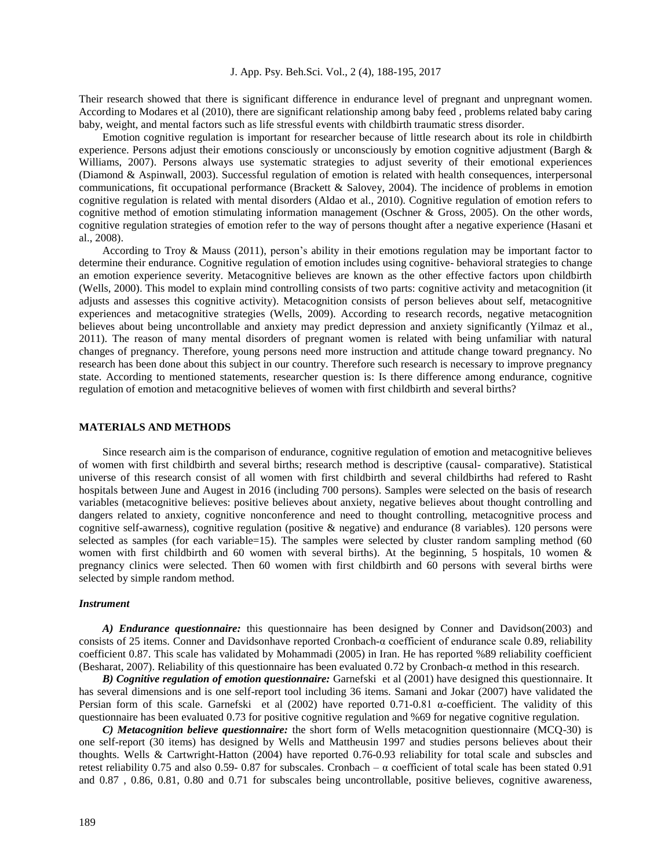Their research showed that there is significant difference in endurance level of pregnant and unpregnant women. According to Modares et al (2010), there are significant relationship among baby feed , problems related baby caring baby, weight, and mental factors such as life stressful events with childbirth traumatic stress disorder.

Emotion cognitive regulation is important for researcher because of little research about its role in childbirth experience. Persons adjust their emotions consciously or unconsciously by emotion cognitive adjustment (Bargh & Williams, 2007). Persons always use systematic strategies to adjust severity of their emotional experiences (Diamond & Aspinwall, 2003). Successful regulation of emotion is related with health consequences, interpersonal communications, fit occupational performance (Brackett & Salovey, 2004). The incidence of problems in emotion cognitive regulation is related with mental disorders (Aldao et al., 2010). Cognitive regulation of emotion refers to cognitive method of emotion stimulating information management (Oschner & Gross, 2005). On the other words, cognitive regulation strategies of emotion refer to the way of persons thought after a negative experience (Hasani et al., 2008).

According to Troy & Mauss (2011), person's ability in their emotions regulation may be important factor to determine their endurance. Cognitive regulation of emotion includes using cognitive- behavioral strategies to change an emotion experience severity. Metacognitive believes are known as the other effective factors upon childbirth (Wells, 2000). This model to explain mind controlling consists of two parts: cognitive activity and metacognition (it adjusts and assesses this cognitive activity). Metacognition consists of person believes about self, metacognitive experiences and metacognitive strategies (Wells, 2009). According to research records, negative metacognition believes about being uncontrollable and anxiety may predict depression and anxiety significantly (Yilmaz et al., 2011). The reason of many mental disorders of pregnant women is related with being unfamiliar with natural changes of pregnancy. Therefore, young persons need more instruction and attitude change toward pregnancy. No research has been done about this subject in our country. Therefore such research is necessary to improve pregnancy state. According to mentioned statements, researcher question is: Is there difference among endurance, cognitive regulation of emotion and metacognitive believes of women with first childbirth and several births?

#### **MATERIALS AND METHODS**

Since research aim is the comparison of endurance, cognitive regulation of emotion and metacognitive believes of women with first childbirth and several births; research method is descriptive (causal- comparative). Statistical universe of this research consist of all women with first childbirth and several childbirths had refered to Rasht hospitals between June and Augest in 2016 (including 700 persons). Samples were selected on the basis of research variables (metacognitive believes: positive believes about anxiety, negative believes about thought controlling and dangers related to anxiety, cognitive nonconference and need to thought controlling, metacognitive process and cognitive self-awarness), cognitive regulation (positive & negative) and endurance (8 variables). 120 persons were selected as samples (for each variable=15). The samples were selected by cluster random sampling method (60) women with first childbirth and 60 women with several births). At the beginning, 5 hospitals, 10 women & pregnancy clinics were selected. Then 60 women with first childbirth and 60 persons with several births were selected by simple random method.

#### *Instrument*

*A) Endurance questionnaire:* this questionnaire has been designed by Conner and Davidson(2003) and consists of 25 items. Conner and Davidsonhave reported Cronbach-α coefficient of endurance scale 0.89, reliability coefficient 0.87. This scale has validated by Mohammadi (2005) in Iran. He has reported %89 reliability coefficient (Besharat, 2007). Reliability of this questionnaire has been evaluated 0.72 by Cronbach-α method in this research.

*B) Cognitive regulation of emotion questionnaire:* Garnefski et al (2001) have designed this questionnaire. It has several dimensions and is one self-report tool including 36 items. Samani and Jokar (2007) have validated the Persian form of this scale. Garnefski et al (2002) have reported 0.71-0.81 α-coefficient. The validity of this questionnaire has been evaluated 0.73 for positive cognitive regulation and %69 for negative cognitive regulation.

*C) Metacognition believe questionnaire:* the short form of Wells metacognition questionnaire (MCQ-30) is one self-report (30 items) has designed by Wells and Mattheusin 1997 and studies persons believes about their thoughts. Wells & Cartwright-Hatton (2004) have reported 0.76-0.93 reliability for total scale and subscles and retest reliability 0.75 and also 0.59- 0.87 for subscales. Cronbach –  $\alpha$  coefficient of total scale has been stated 0.91 and 0.87 , 0.86, 0.81, 0.80 and 0.71 for subscales being uncontrollable, positive believes, cognitive awareness,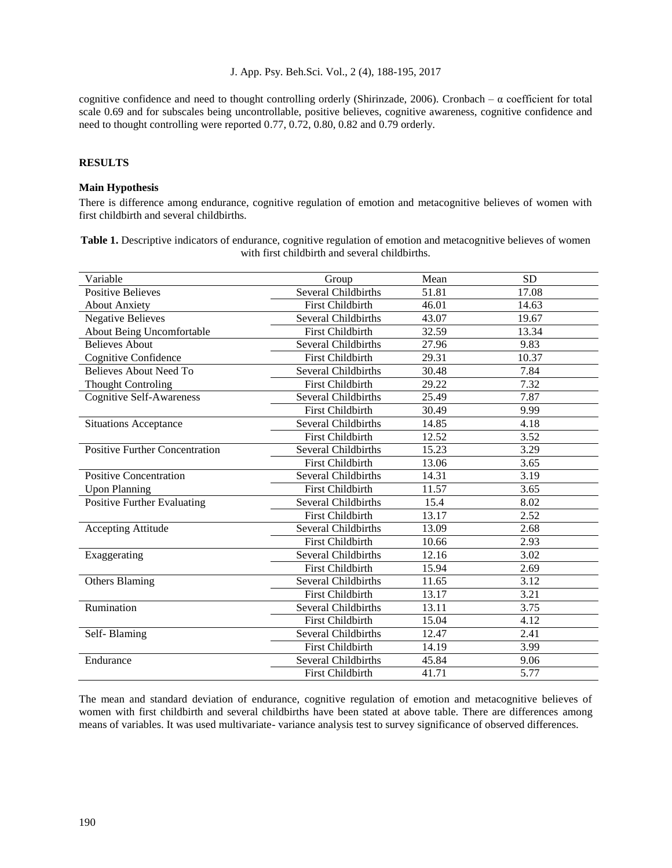cognitive confidence and need to thought controlling orderly (Shirinzade, 2006). Cronbach –  $\alpha$  coefficient for total scale 0.69 and for subscales being uncontrollable, positive believes, cognitive awareness, cognitive confidence and need to thought controlling were reported 0.77, 0.72, 0.80, 0.82 and 0.79 orderly.

# **RESULTS**

## **Main Hypothesis**

There is difference among endurance, cognitive regulation of emotion and metacognitive believes of women with first childbirth and several childbirths.

**Table 1.** Descriptive indicators of endurance, cognitive regulation of emotion and metacognitive believes of women with first childbirth and several childbirths.

| Variable                              | Group                      | Mean  | <b>SD</b> |
|---------------------------------------|----------------------------|-------|-----------|
| <b>Positive Believes</b>              | Several Childbirths        | 51.81 | 17.08     |
| <b>About Anxiety</b>                  | <b>First Childbirth</b>    | 46.01 | 14.63     |
| <b>Negative Believes</b>              | Several Childbirths        | 43.07 | 19.67     |
| About Being Uncomfortable             | <b>First Childbirth</b>    | 32.59 | 13.34     |
| <b>Believes About</b>                 | Several Childbirths        | 27.96 | 9.83      |
| <b>Cognitive Confidence</b>           | First Childbirth           | 29.31 | 10.37     |
| <b>Believes About Need To</b>         | Several Childbirths        | 30.48 | 7.84      |
| <b>Thought Controling</b>             | <b>First Childbirth</b>    | 29.22 | 7.32      |
| <b>Cognitive Self-Awareness</b>       | Several Childbirths        | 25.49 | 7.87      |
|                                       | First Childbirth           | 30.49 | 9.99      |
| <b>Situations Acceptance</b>          | Several Childbirths        | 14.85 | 4.18      |
|                                       | <b>First Childbirth</b>    | 12.52 | 3.52      |
| <b>Positive Further Concentration</b> | Several Childbirths        | 15.23 | 3.29      |
|                                       | <b>First Childbirth</b>    | 13.06 | 3.65      |
| <b>Positive Concentration</b>         | <b>Several Childbirths</b> | 14.31 | 3.19      |
| <b>Upon Planning</b>                  | <b>First Childbirth</b>    | 11.57 | 3.65      |
| <b>Positive Further Evaluating</b>    | Several Childbirths        | 15.4  | 8.02      |
|                                       | <b>First Childbirth</b>    | 13.17 | 2.52      |
| <b>Accepting Attitude</b>             | Several Childbirths        | 13.09 | 2.68      |
|                                       | <b>First Childbirth</b>    | 10.66 | 2.93      |
| Exaggerating                          | Several Childbirths        | 12.16 | 3.02      |
|                                       | <b>First Childbirth</b>    | 15.94 | 2.69      |
| <b>Others Blaming</b>                 | Several Childbirths        | 11.65 | 3.12      |
|                                       | <b>First Childbirth</b>    | 13.17 | 3.21      |
| Rumination                            | Several Childbirths        | 13.11 | 3.75      |
|                                       | <b>First Childbirth</b>    | 15.04 | 4.12      |
| Self-Blaming                          | Several Childbirths        | 12.47 | 2.41      |
|                                       | <b>First Childbirth</b>    | 14.19 | 3.99      |
| Endurance                             | Several Childbirths        | 45.84 | 9.06      |
|                                       | <b>First Childbirth</b>    | 41.71 | 5.77      |

The mean and standard deviation of endurance, cognitive regulation of emotion and metacognitive believes of women with first childbirth and several childbirths have been stated at above table. There are differences among means of variables. It was used multivariate- variance analysis test to survey significance of observed differences.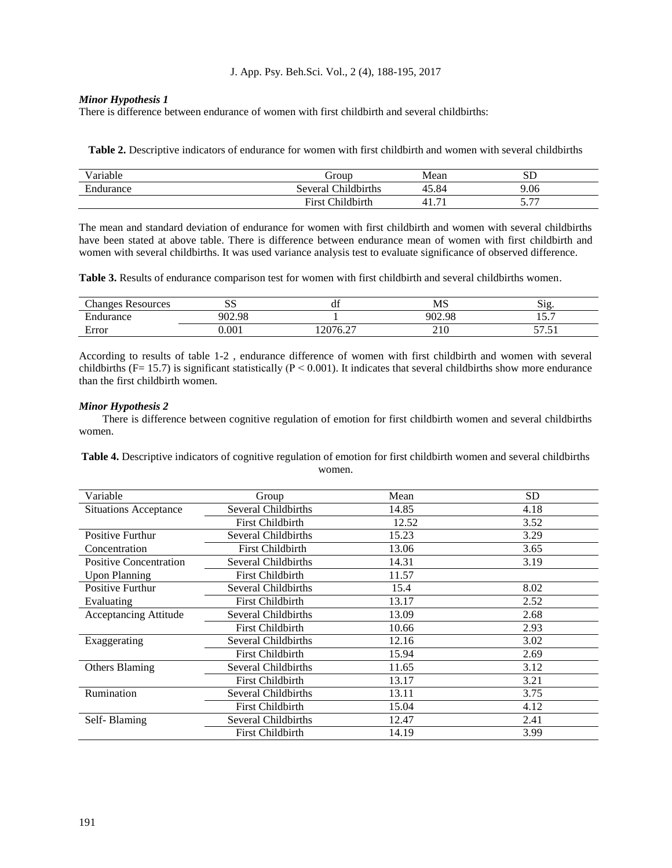## *Minor Hypothesis 1*

There is difference between endurance of women with first childbirth and several childbirths:

**Table 2.** Descriptive indicators of endurance for women with first childbirth and women with several childbirths

| . .<br>.<br>√arıable | Group                               | Mean                            | $_{\rm SD}$                   |
|----------------------|-------------------------------------|---------------------------------|-------------------------------|
| Endurance            | Childbirths<br>Several              | 45.84                           | 9.06                          |
|                      | Childbirth<br>$\mathbf{r}$<br>∺ırst | $\overline{\phantom{0}}$<br>41. | $\overline{a}$<br>$J \cdot I$ |

The mean and standard deviation of endurance for women with first childbirth and women with several childbirths have been stated at above table. There is difference between endurance mean of women with first childbirth and women with several childbirths. It was used variance analysis test to evaluate significance of observed difference.

**Table 3.** Results of endurance comparison test for women with first childbirth and several childbirths women.

| $\sim$<br>Changes<br>Resources        | $\sim$ $\sim$<br>ນມ | . .<br>uі                                 | MS     | $\sim$<br>٬۱<br>NI≧               |
|---------------------------------------|---------------------|-------------------------------------------|--------|-----------------------------------|
| $\overline{\phantom{a}}$<br>Endurance | 902.98              |                                           | 902.98 | -<br>$\tilde{\phantom{a}}$<br>1 J |
| Error                                 | 0.001               | 12076.27<br>$\mathbf{U} \cdot \mathbf{L}$ | 210    | $- - -$<br>ູ<br>ັ                 |

According to results of table 1-2 , endurance difference of women with first childbirth and women with several childbirths (F= 15.7) is significant statistically ( $P < 0.001$ ). It indicates that several childbirths show more endurance than the first childbirth women.

# *Minor Hypothesis 2*

There is difference between cognitive regulation of emotion for first childbirth women and several childbirths women.

**Table 4.** Descriptive indicators of cognitive regulation of emotion for first childbirth women and several childbirths women.

| Variable                      | Group                   | Mean  | <b>SD</b> |
|-------------------------------|-------------------------|-------|-----------|
| <b>Situations Acceptance</b>  | Several Childbirths     | 14.85 | 4.18      |
|                               | First Childbirth        | 12.52 | 3.52      |
| <b>Positive Furthur</b>       | Several Childbirths     | 15.23 | 3.29      |
| Concentration                 | <b>First Childbirth</b> | 13.06 | 3.65      |
| <b>Positive Concentration</b> | Several Childbirths     | 14.31 | 3.19      |
| <b>Upon Planning</b>          | <b>First Childbirth</b> | 11.57 |           |
| <b>Positive Furthur</b>       | Several Childbirths     | 15.4  | 8.02      |
| Evaluating                    | <b>First Childbirth</b> | 13.17 | 2.52      |
| <b>Acceptancing Attitude</b>  | Several Childbirths     | 13.09 | 2.68      |
|                               | First Childbirth        | 10.66 | 2.93      |
| Exaggerating                  | Several Childbirths     | 12.16 | 3.02      |
|                               | <b>First Childbirth</b> | 15.94 | 2.69      |
| <b>Others Blaming</b>         | Several Childbirths     | 11.65 | 3.12      |
|                               | <b>First Childbirth</b> | 13.17 | 3.21      |
| Rumination                    | Several Childbirths     | 13.11 | 3.75      |
|                               | First Childbirth        | 15.04 | 4.12      |
| Self-Blaming                  | Several Childbirths     | 12.47 | 2.41      |
|                               | <b>First Childbirth</b> | 14.19 | 3.99      |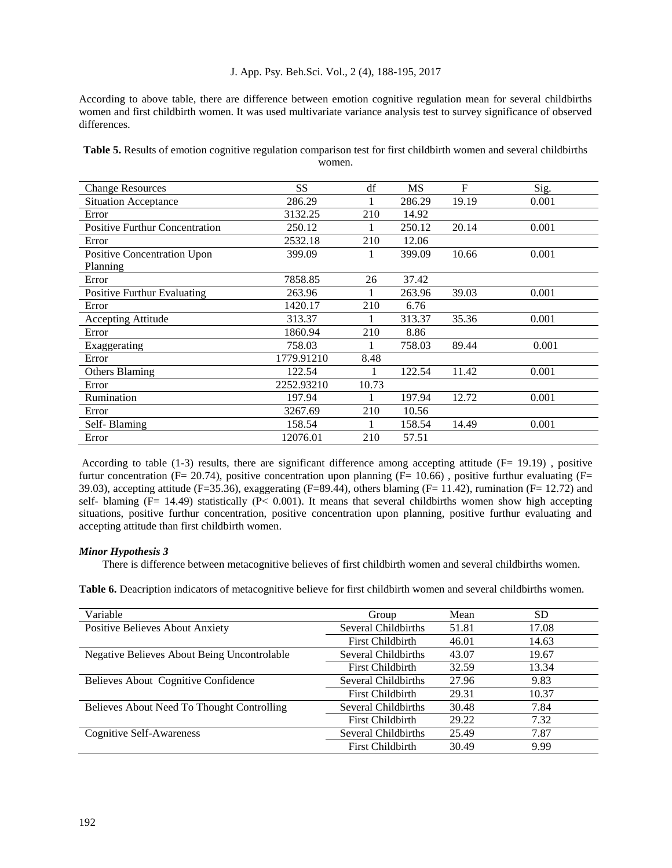According to above table, there are difference between emotion cognitive regulation mean for several childbirths women and first childbirth women. It was used multivariate variance analysis test to survey significance of observed differences.

**Table 5.** Results of emotion cognitive regulation comparison test for first childbirth women and several childbirths women.

| <b>Change Resources</b>        | <b>SS</b>  | df    | MS     | $\mathbf{F}$ | Sig.  |
|--------------------------------|------------|-------|--------|--------------|-------|
| <b>Situation Acceptance</b>    | 286.29     |       | 286.29 | 19.19        | 0.001 |
| Error                          | 3132.25    | 210   | 14.92  |              |       |
| Positive Furthur Concentration | 250.12     |       | 250.12 | 20.14        | 0.001 |
| Error                          | 2532.18    | 210   | 12.06  |              |       |
| Positive Concentration Upon    | 399.09     |       | 399.09 | 10.66        | 0.001 |
| Planning                       |            |       |        |              |       |
| Error                          | 7858.85    | 26    | 37.42  |              |       |
| Positive Furthur Evaluating    | 263.96     |       | 263.96 | 39.03        | 0.001 |
| Error                          | 1420.17    | 210   | 6.76   |              |       |
| Accepting Attitude             | 313.37     |       | 313.37 | 35.36        | 0.001 |
| Error                          | 1860.94    | 210   | 8.86   |              |       |
| Exaggerating                   | 758.03     |       | 758.03 | 89.44        | 0.001 |
| Error                          | 1779.91210 | 8.48  |        |              |       |
| <b>Others Blaming</b>          | 122.54     |       | 122.54 | 11.42        | 0.001 |
| Error                          | 2252.93210 | 10.73 |        |              |       |
| Rumination                     | 197.94     |       | 197.94 | 12.72        | 0.001 |
| Error                          | 3267.69    | 210   | 10.56  |              |       |
| Self-Blaming                   | 158.54     |       | 158.54 | 14.49        | 0.001 |
| Error                          | 12076.01   | 210   | 57.51  |              |       |

According to table (1-3) results, there are significant difference among accepting attitude (F= 19.19), positive furtur concentration (F= 20.74), positive concentration upon planning (F= 10.66), positive furthur evaluating (F= 39.03), accepting attitude (F=35.36), exaggerating (F=89.44), others blaming (F= 11.42), rumination (F= 12.72) and self- blaming  $(F= 14.49)$  statistically  $(P< 0.001)$ . It means that several childbirths women show high accepting situations, positive furthur concentration, positive concentration upon planning, positive furthur evaluating and accepting attitude than first childbirth women.

## *Minor Hypothesis 3*

There is difference between metacognitive believes of first childbirth women and several childbirths women.

**Table 6.** Deacription indicators of metacognitive believe for first childbirth women and several childbirths women.

| Variable                                           | Group                   | Mean  | <b>SD</b> |
|----------------------------------------------------|-------------------------|-------|-----------|
| <b>Positive Believes About Anxiety</b>             | Several Childbirths     | 51.81 | 17.08     |
|                                                    | <b>First Childbirth</b> | 46.01 | 14.63     |
| <b>Negative Believes About Being Uncontrolable</b> | Several Childbirths     | 43.07 | 19.67     |
|                                                    | <b>First Childbirth</b> | 32.59 | 13.34     |
| Believes About Cognitive Confidence                | Several Childbirths     | 27.96 | 9.83      |
|                                                    | <b>First Childbirth</b> | 29.31 | 10.37     |
| Believes About Need To Thought Controlling         | Several Childbirths     | 30.48 | 7.84      |
|                                                    | <b>First Childbirth</b> | 29.22 | 7.32      |
| <b>Cognitive Self-Awareness</b>                    | Several Childbirths     | 25.49 | 7.87      |
|                                                    | <b>First Childbirth</b> | 30.49 | 9.99      |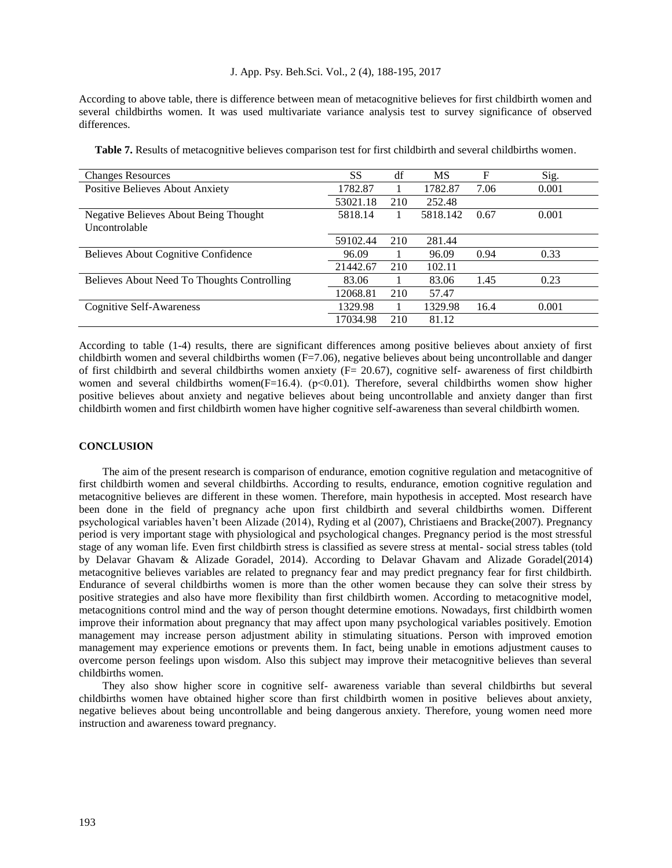According to above table, there is difference between mean of metacognitive believes for first childbirth women and several childbirths women. It was used multivariate variance analysis test to survey significance of observed differences.

| <b>Changes Resources</b>                     | <b>SS</b> | df  | MS       | F    | Sig.  |
|----------------------------------------------|-----------|-----|----------|------|-------|
| Positive Believes About Anxiety              | 1782.87   |     | 1782.87  | 7.06 | 0.001 |
|                                              | 53021.18  | 210 | 252.48   |      |       |
| <b>Negative Believes About Being Thought</b> | 5818.14   |     | 5818.142 | 0.67 | 0.001 |
| Uncontrolable                                |           |     |          |      |       |
|                                              | 59102.44  | 210 | 281.44   |      |       |
| Believes About Cognitive Confidence          | 96.09     |     | 96.09    | 0.94 | 0.33  |
|                                              | 21442.67  | 210 | 102.11   |      |       |
| Believes About Need To Thoughts Controlling  | 83.06     |     | 83.06    | 1.45 | 0.23  |
|                                              | 12068.81  | 210 | 57.47    |      |       |
| Cognitive Self-Awareness                     | 1329.98   |     | 1329.98  | 16.4 | 0.001 |
|                                              | 17034.98  | 210 | 81.12    |      |       |

**Table 7.** Results of metacognitive believes comparison test for first childbirth and several childbirths women.

According to table (1-4) results, there are significant differences among positive believes about anxiety of first childbirth women and several childbirths women  $(F=7.06)$ , negative believes about being uncontrollable and danger of first childbirth and several childbirths women anxiety ( $F = 20.67$ ), cognitive self- awareness of first childbirth women and several childbirths women(F=16.4). (p<0.01). Therefore, several childbirths women show higher positive believes about anxiety and negative believes about being uncontrollable and anxiety danger than first childbirth women and first childbirth women have higher cognitive self-awareness than several childbirth women.

## **CONCLUSION**

The aim of the present research is comparison of endurance, emotion cognitive regulation and metacognitive of first childbirth women and several childbirths. According to results, endurance, emotion cognitive regulation and metacognitive believes are different in these women. Therefore, main hypothesis in accepted. Most research have been done in the field of pregnancy ache upon first childbirth and several childbirths women. Different psychological variables haven't been Alizade (2014), Ryding et al (2007), Christiaens and Bracke(2007). Pregnancy period is very important stage with physiological and psychological changes. Pregnancy period is the most stressful stage of any woman life. Even first childbirth stress is classified as severe stress at mental- social stress tables (told by Delavar Ghavam & Alizade Goradel, 2014). According to Delavar Ghavam and Alizade Goradel(2014) metacognitive believes variables are related to pregnancy fear and may predict pregnancy fear for first childbirth. Endurance of several childbirths women is more than the other women because they can solve their stress by positive strategies and also have more flexibility than first childbirth women. According to metacognitive model, metacognitions control mind and the way of person thought determine emotions. Nowadays, first childbirth women improve their information about pregnancy that may affect upon many psychological variables positively. Emotion management may increase person adjustment ability in stimulating situations. Person with improved emotion management may experience emotions or prevents them. In fact, being unable in emotions adjustment causes to overcome person feelings upon wisdom. Also this subject may improve their metacognitive believes than several childbirths women.

They also show higher score in cognitive self- awareness variable than several childbirths but several childbirths women have obtained higher score than first childbirth women in positive believes about anxiety, negative believes about being uncontrollable and being dangerous anxiety. Therefore, young women need more instruction and awareness toward pregnancy.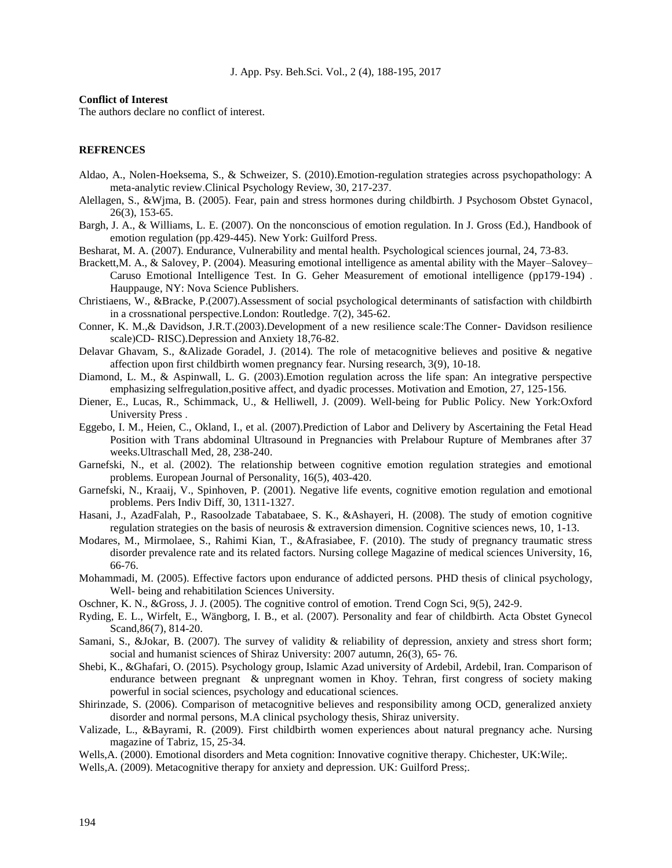#### **Conflict of Interest**

The authors declare no conflict of interest.

#### **REFRENCES**

- Aldao, A., Nolen-Hoeksema, S., & Schweizer, S. (2010).Emotion-regulation strategies across psychopathology: A meta-analytic review.Clinical Psychology Review, 30, 217-237.
- Alellagen, S., &Wjma, B. (2005). Fear, pain and stress hormones during childbirth. J Psychosom Obstet Gynacol, 26(3), 153-65.
- Bargh, J. A., & Williams, L. E. (2007). On the nonconscious of emotion regulation. In J. Gross (Ed.), Handbook of emotion regulation (pp.429-445). New York: Guilford Press.
- Besharat, M. A. (2007). Endurance, Vulnerability and mental health. Psychological sciences journal, 24, 73-83.
- Brackett,M. A., & Salovey, P. (2004). Measuring emotional intelligence as amental ability with the Mayer–Salovey– Caruso Emotional Intelligence Test. In G. Geher Measurement of emotional intelligence (pp179-194) . Hauppauge, NY: Nova Science Publishers.
- Christiaens, W., &Bracke, P.(2007).Assessment of social psychological determinants of satisfaction with childbirth in a crossnational perspective.London: Routledge. 7(2), 345-62.
- Conner, K. M.,& Davidson, J.R.T.(2003).Development of a new resilience scale:The Conner- Davidson resilience scale)CD- RISC).Depression and Anxiety 18,76-82.
- Delavar Ghavam, S., &Alizade Goradel, J. (2014). The role of metacognitive believes and positive & negative affection upon first childbirth women pregnancy fear. Nursing research, 3(9), 10-18.
- Diamond, L. M., & Aspinwall, L. G. (2003).Emotion regulation across the life span: An integrative perspective emphasizing selfregulation,positive affect, and dyadic processes. Motivation and Emotion, 27, 125-156.
- Diener, E., Lucas, R., Schimmack, U., & Helliwell, J. (2009). Well-being for Public Policy. New York:Oxford University Press .
- Eggebo, I. M., Heien, C., Okland, I., et al. (2007).Prediction of Labor and Delivery by Ascertaining the Fetal Head Position with Trans abdominal Ultrasound in Pregnancies with Prelabour Rupture of Membranes after 37 weeks.Ultraschall Med, 28, 238-240.
- Garnefski, N., et al. (2002). The relationship between cognitive emotion regulation strategies and emotional problems. European Journal of Personality, 16(5), 403-420.
- Garnefski, N., Kraaij, V., Spinhoven, P. (2001). Negative life events, cognitive emotion regulation and emotional problems. Pers Indiv Diff, 30, 1311-1327.
- Hasani, J., AzadFalah, P., Rasoolzade Tabatabaee, S. K., &Ashayeri, H. (2008). The study of emotion cognitive regulation strategies on the basis of neurosis & extraversion dimension. Cognitive sciences news, 10, 1-13.
- Modares, M., Mirmolaee, S., Rahimi Kian, T., &Afrasiabee, F. (2010). The study of pregnancy traumatic stress disorder prevalence rate and its related factors. Nursing college Magazine of medical sciences University, 16, 66-76.
- Mohammadi, M. (2005). Effective factors upon endurance of addicted persons. PHD thesis of clinical psychology, Well- being and rehabitilation Sciences University.
- Oschner, K. N., &Gross, J. J. (2005). The cognitive control of emotion. Trend Cogn Sci, 9(5), 242-9.
- Ryding, E. L., Wirfelt, E., Wängborg, I. B., et al. (2007). Personality and fear of childbirth. Acta Obstet Gynecol Scand,86(7), 814-20.
- Samani, S., &Jokar, B. (2007). The survey of validity & reliability of depression, anxiety and stress short form; social and humanist sciences of Shiraz University: 2007 autumn, 26(3), 65- 76.
- Shebi, K., &Ghafari, O. (2015). Psychology group, Islamic Azad university of Ardebil, Ardebil, Iran. Comparison of endurance between pregnant & unpregnant women in Khoy. Tehran, first congress of society making powerful in social sciences, psychology and educational sciences.
- Shirinzade, S. (2006). Comparison of metacognitive believes and responsibility among OCD, generalized anxiety disorder and normal persons, M.A clinical psychology thesis, Shiraz university.
- Valizade, L., &Bayrami, R. (2009). First childbirth women experiences about natural pregnancy ache. Nursing magazine of Tabriz, 15, 25-34.
- Wells,A. (2000). Emotional disorders and Meta cognition: Innovative cognitive therapy. Chichester, UK:Wile;.
- Wells,A. (2009). Metacognitive therapy for anxiety and depression. UK: Guilford Press;.